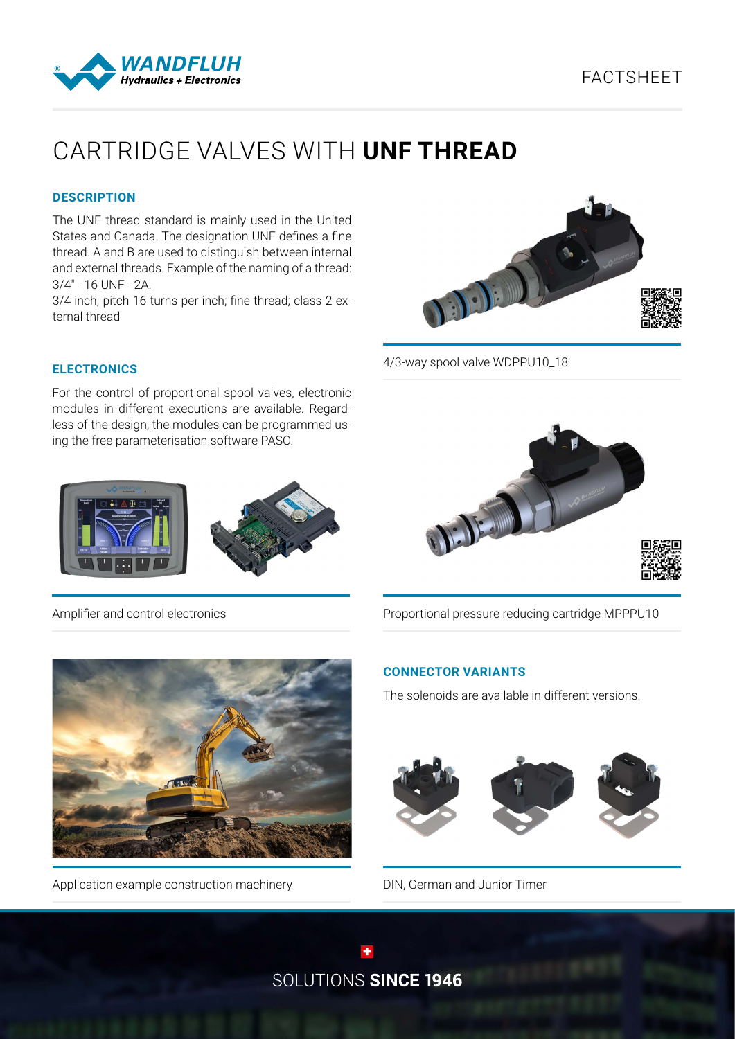## FACTSHEET



# CARTRIDGE VALVES WITH **UNF THREAD**

#### **DESCRIPTION**

The UNF thread standard is mainly used in the United States and Canada. The designation UNF defines a fine thread. A and B are used to distinguish between internal and external threads. Example of the naming of a thread: 3/4" - 16 UNF - 2A.

3/4 inch; pitch 16 turns per inch; fine thread; class 2 external thread



4/3-way spool valve WDPPU10\_18

#### **ELECTRONICS**

For the control of proportional spool valves, electronic modules in different executions are available. Regardless of the design, the modules can be programmed using the free parameterisation software PASO.





Amplifier and control electronics



Proportional pressure reducing cartridge MPPPU10



Application example construction machinery

#### **CONNECTOR VARIANTS**

The solenoids are available in different versions.



DIN, German and Junior Timer

SOLUTIONS SINCE 1946